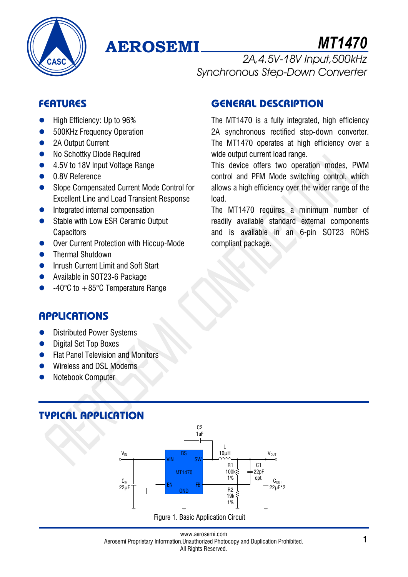

# **AEROSEMI**

*MT1470*

*2A,4.5V-18V Input,500kHz Synchronous Step-Down Converter*

## **FEATURES**

- High Efficiency: Up to 96%
- 500KHz Frequency Operation
- 2A Output Current
- No Schottky Diode Required
- 4.5V to 18V Input Voltage Range
- 0.8V Reference
- Slope Compensated Current Mode Control for Excellent Line and Load Transient Response
- **•** Integrated internal compensation
- Stable with Low ESR Ceramic Output **Capacitors**
- Over Current Protection with Hiccup-Mode
- **•** Thermal Shutdown
- **•** Inrush Current Limit and Soft Start
- Available in SOT23-6 Package
- $-40^{\circ}$ C to  $+85^{\circ}$ C Temperature Range

## **GENERAL DESCRIPTION**

The MT1470 is a fully integrated, high efficiency 2A synchronous rectified step-down converter. The MT1470 operates at high efficiency over a wide output current load range.

This device offers two operation modes, PWM control and PFM Mode switching control, which allows a high efficiency over the wider range of the load.

The MT1470 requires a minimum number of readily available standard external components and is available in an 6-pin SOT23 ROHS compliant package.

## **APPLICATIONS**

- Distributed Power Systems
- Digital Set Top Boxes
- **Flat Panel Television and Monitors**
- Wireless and DSL Modems
- Notebook Computer

## **TYPICAL APPLICATION**

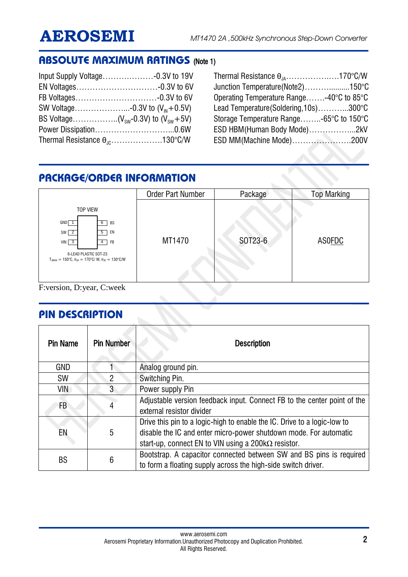## **ABSOLUTE MAXIMUM RATINGS** (Note 1)

| Thermal Resistance $\theta_{\text{nc}}$ 130°C/W |  |
|-------------------------------------------------|--|
|                                                 |  |

Thermal Resistance  $\theta_{JA}$ …………………170°C/W Junction Temperature(Note2)………..........150°C Operating Temperature Range…….-40°C to 85°C Lead Temperature(Soldering,10s)………...300°C Storage Temperature Range……..-65°C to 150°C ESD HBM(Human Body Mode)……………...2kV ESD MM(Machine Mode)………………….200V

## **PACKAGE/ORDER INFORMATION**

|                                                                                                                                                                                                                                   | <b>Order Part Number</b> | Package | <b>Top Marking</b> |
|-----------------------------------------------------------------------------------------------------------------------------------------------------------------------------------------------------------------------------------|--------------------------|---------|--------------------|
| <b>TOP VIEW</b><br>GND<br>BS<br>6<br>$5$ EN<br>$SW \sqrt{2}$<br><b>FB</b><br>$VIN$ 3<br>$\overline{4}$<br>6-LEAD PLASTIC SOT-23<br>$T_{.IMAX} = 150^{\circ}C$ , $\theta_{.IA} = 170^{\circ}C/W$ , $\theta_{.IC} = 130^{\circ}C/W$ | MT1470                   | SOT23-6 | ASOFDC             |

F:version, D:year, C:week

## **PIN DESCRIPTION**

| <b>Pin Name</b> | <b>Pin Number</b> | <b>Description</b>                                                                                                                                                                                           |
|-----------------|-------------------|--------------------------------------------------------------------------------------------------------------------------------------------------------------------------------------------------------------|
| <b>GND</b>      |                   | Analog ground pin.                                                                                                                                                                                           |
| <b>SW</b>       | $\overline{2}$    | Switching Pin.                                                                                                                                                                                               |
| VIN             | 3                 | Power supply Pin                                                                                                                                                                                             |
| FB              | 4                 | Adjustable version feedback input. Connect FB to the center point of the<br>external resistor divider                                                                                                        |
| EN              | 5                 | Drive this pin to a logic-high to enable the IC. Drive to a logic-low to<br>disable the IC and enter micro-power shutdown mode. For automatic<br>start-up, connect EN to VIN using a 200 $k\Omega$ resistor. |
| <b>BS</b>       | $6\phantom{1}6$   | Bootstrap. A capacitor connected between SW and BS pins is required<br>to form a floating supply across the high-side switch driver.                                                                         |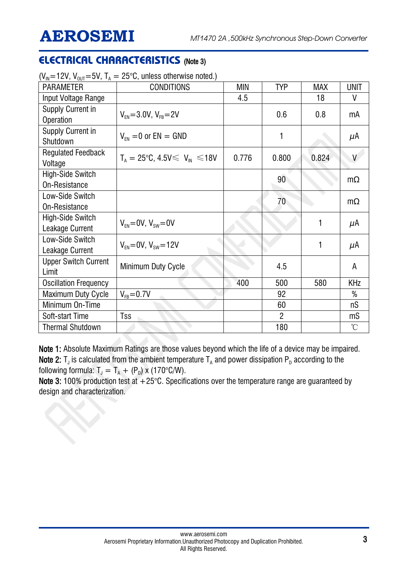## **ELECTRICAL CHARACTERISTICS** (Note 3)

| $\cdot$ – $\cdot$ , $\cdot$ 001<br><b>PARAMETER</b> | <b>CONDITIONS</b>                              | MIN   | <b>TYP</b>      | <b>MAX</b> | <b>UNIT</b> |
|-----------------------------------------------------|------------------------------------------------|-------|-----------------|------------|-------------|
| Input Voltage Range                                 |                                                | 4.5   |                 | 18         | ۷           |
| <b>Supply Current in</b><br>Operation               | $V_{FN} = 3.0V, V_{FB} = 2V$                   |       | 0.6             | 0.8        | mA          |
| <b>Supply Current in</b><br>Shutdown                | $V_{FN} = 0$ or $EN = GND$                     |       | 1               |            | $\mu$ A     |
| <b>Regulated Feedback</b><br>Voltage                | $T_{A} = 25^{\circ}C, 4.5V \le V_{IN} \le 18V$ | 0.776 | 0.800           | 0.824      | V           |
| High-Side Switch<br>On-Resistance                   |                                                |       | 90 <sup>°</sup> |            | $m\Omega$   |
| Low-Side Switch<br>On-Resistance                    |                                                |       | 70              |            | $m\Omega$   |
| High-Side Switch<br>Leakage Current                 | $V_{FN} = 0V, V_{SW} = 0V$                     |       |                 | 1          | μA          |
| Low-Side Switch<br>Leakage Current                  | $V_{FN} = 0V$ , $V_{SW} = 12V$                 |       |                 | 1          | $\mu$ A     |
| <b>Upper Switch Current</b><br>Limit                | Minimum Duty Cycle                             |       | 4.5             |            | A           |
| <b>Oscillation Frequency</b>                        |                                                | 400   | 500             | 580        | <b>KHz</b>  |
| <b>Maximum Duty Cycle</b>                           | $V_{FB} = 0.7V$                                |       | 92              |            | %           |
| Minimum On-Time                                     |                                                |       | 60              |            | nS          |
| Soft-start Time                                     | Tss                                            |       | $\overline{2}$  |            | mS          |
| <b>Thermal Shutdown</b>                             |                                                |       | 180             |            | °C          |

 $(V_{\text{N}}=12V, V_{\text{OUT}}=5V, T_{\text{A}}=25^{\circ}\text{C}$ , unless otherwise noted.)

Note 1: Absolute Maximum Ratings are those values beyond which the life of a device may be impaired. **Note 2:** T<sub>J</sub> is calculated from the ambient temperature T<sub>A</sub> and power dissipation P<sub>D</sub> according to the following formula:  $T_{\text{J}} = T_{\text{A}} + (P_{\text{D}}) \times (170^{\circ} \text{C/W}).$ 

Note 3: 100% production test at  $+25^{\circ}$ C. Specifications over the temperature range are guaranteed by design and characterization.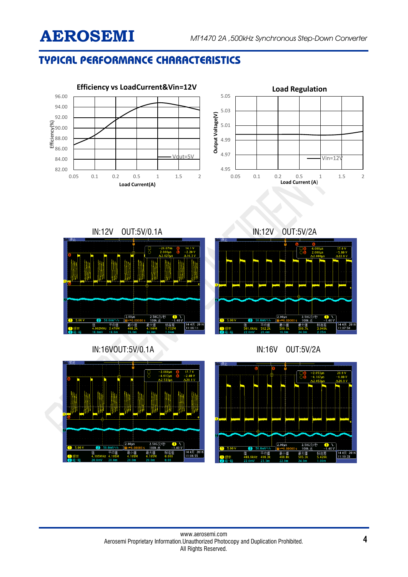## **TYPICAL PERFORMANCE CHARACTERISTICS**

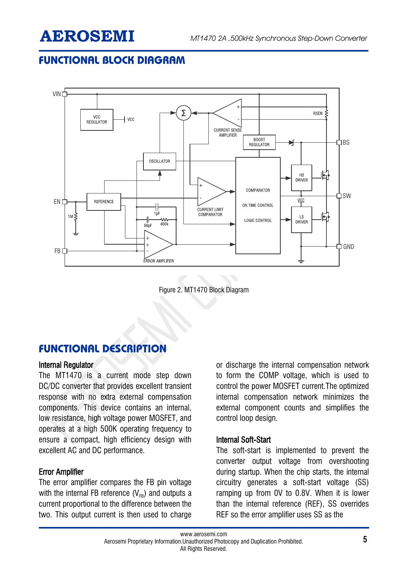## **FUNCTIONAL BLOCK DIAGRAM**



Figure 2. MT1470 Block Diagram

## **FUNCTIONAL DESCRIPTION**

#### Internal Regulator

The MT1470 is a current mode step down DC/DC converter that provides excellent transient response with no extra external compensation components. This device contains an internal, low resistance, high voltage power MOSFET, and operates at a high 500K operating frequency to ensure a compact, high efficiency design with excellent AC and DC performance.

### Error Amplifier

The error amplifier compares the FB pin voltage with the internal FB reference  $(V_{FB})$  and outputs a current proportional to the difference between the two. This output current is then used to charge or discharge the internal compensation network to form the COMP voltage, which is used to control the power MOSFET current.The optimized internal compensation network minimizes the external component counts and simplifies the control loop design.

### Internal Soft-Start

The soft-start is implemented to prevent the converter output voltage from overshooting during startup. When the chip starts, the internal circuitry generates a soft-start voltage (SS) ramping up from 0V to 0.8V. When it is lower than the internal reference (REF), SS overrides REF so the error amplifier uses SS as the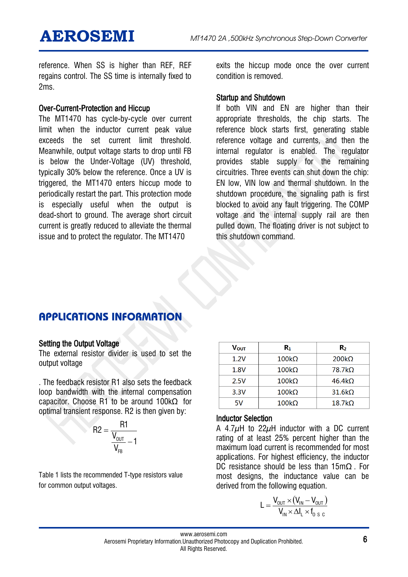reference. When SS is higher than REF, REF regains control. The SS time is internally fixed to 2ms.

#### Over-Current-Protection and Hiccup

The MT1470 has cycle-by-cycle over current limit when the inductor current peak value exceeds the set current limit threshold. Meanwhile, output voltage starts to drop until FB is below the Under-Voltage (UV) threshold, typically 30% below the reference. Once a UV is triggered, the MT1470 enters hiccup mode to periodically restart the part. This protection mode is especially useful when the output is dead-short to ground. The average short circuit current is greatly reduced to alleviate the thermal issue and to protect the regulator. The MT1470

exits the hiccup mode once the over current condition is removed.

#### Startup and Shutdown

If both VIN and EN are higher than their appropriate thresholds, the chip starts. The reference block starts first, generating stable reference voltage and currents, and then the internal regulator is enabled. The regulator provides stable supply for the remaining circuitries. Three events can shut down the chip: EN low, VIN low and thermal shutdown. In the shutdown procedure, the signaling path is first blocked to avoid any fault triggering. The COMP voltage and the internal supply rail are then pulled down. The floating driver is not subject to this shutdown command.

## **APPLICATIONS INFORMATION**

### Setting the Output Voltage

The external resistor divider is used to set the output voltage

. The feedback resistor R1 also sets the feedback loop bandwidth with the internal compensation capacitor. Choose R1 to be around 100kΩ for optimal transient response. R2 is then given by:

$$
R2 = \frac{R1}{\frac{V_{\text{OUT}}}{V_{\text{FB}}}-1}
$$

Table 1 lists the recommended T-type resistors value for common output voltages.

| Vout | $R_1$        | Rэ            |
|------|--------------|---------------|
| 1.2V | $100k\Omega$ | $200k\Omega$  |
| 1.8V | $100k\Omega$ | $78.7k\Omega$ |
| 2.5V | $100k\Omega$ | $46.4k\Omega$ |
| 3.3V | $100k\Omega$ | $31.6k\Omega$ |
| 5V   | $100k\Omega$ | $18.7k\Omega$ |

#### Inductor Selection

A 4.7μH to 22μH inductor with a DC current rating of at least 25% percent higher than the maximum load current is recommended for most applications. For highest efficiency, the inductor DC resistance should be less than 15mΩ . For most designs, the inductance value can be derived from the following equation.

$$
L = \frac{V_{\text{OUT}} \times (V_{\text{IN}} - V_{\text{OUT}})}{V_{\text{IN}} \times \Delta I_{\text{L}} \times f_{\text{O-S C}}}
$$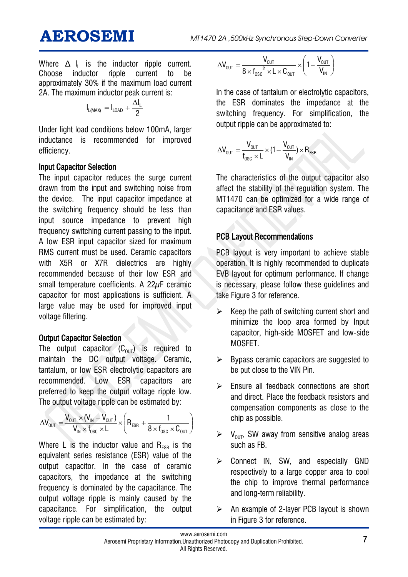Where  $\Delta$  I<sub>L</sub> is the inductor ripple current. Choose inductor ripple current to be approximately 30% if the maximum load current 2A. The maximum inductor peak current is:

$$
I_{L(MAX)}=I_{LOAD}+\frac{\Delta I_L}{2}
$$

Under light load conditions below 100mA, larger inductance is recommended for improved efficiency.

### Input Capacitor Selection

The input capacitor reduces the surge current drawn from the input and switching noise from the device. The input capacitor impedance at the switching frequency should be less than input source impedance to prevent high frequency switching current passing to the input. A low ESR input capacitor sized for maximum RMS current must be used. Ceramic capacitors with X5R or X7R dielectrics are highly recommended because of their low ESR and small temperature coefficients. A 22µF ceramic capacitor for most applications is sufficient. A large value may be used for improved input voltage filtering.

### **Output Capacitor Selection**

The output capacitor  $(C_{\text{out}})$  is required to maintain the DC output voltage. Ceramic, tantalum, or low ESR electrolytic capacitors are recommended. Low ESR capacitors are preferred to keep the output voltage ripple low. The output voltage ripple can be estimated by:

$$
\Delta V_{\text{OUT}} = \frac{V_{\text{OUT}} \times (V_{\text{IN}} - V_{\text{OUT}})}{V_{\text{IN}} \times f_{\text{osc}} \times L} \times \left(R_{\text{ESR}} + \frac{1}{8 \times f_{\text{osc}} \times C_{\text{OUT}}}\right)
$$

Where L is the inductor value and  $R_{FSR}$  is the equivalent series resistance (ESR) value of the output capacitor. In the case of ceramic capacitors, the impedance at the switching frequency is dominated by the capacitance. The output voltage ripple is mainly caused by the capacitance. For simplification, the output voltage ripple can be estimated by:

$$
\Delta V_{\text{out}} = \frac{V_{\text{out}}}{8 \times f_{\text{osc}}^2 \times L \times C_{\text{out}}} \times \left(1 - \frac{V_{\text{out}}}{V_{\text{in}}}\right)
$$

In the case of tantalum or electrolytic capacitors, the ESR dominates the impedance at the switching frequency. For simplification, the output ripple can be approximated to:

$$
\Delta V_{\text{OUT}} = \frac{V_{\text{OUT}}}{f_{\text{osc}} \times L} \times (1 - \frac{V_{\text{OUT}}}{V_{\text{IN}}}) \times R_{\text{ESR}}
$$

The characteristics of the output capacitor also affect the stability of the regulation system. The MT1470 can be optimized for a wide range of capacitance and ESR values.

### PCB Layout Recommendations

PCB layout is very important to achieve stable operation. It is highly recommended to duplicate EVB layout for optimum performance. If change is necessary, please follow these guidelines and take Figure 3 for reference.

- $\triangleright$  Keep the path of switching current short and minimize the loop area formed by Input capacitor, high-side MOSFET and low-side MOSFET.
- $\triangleright$  Bypass ceramic capacitors are suggested to be put close to the VIN Pin.
- $\triangleright$  Ensure all feedback connections are short and direct. Place the feedback resistors and compensation components as close to the chip as possible.
- $V_{\text{out}}$ , SW away from sensitive analog areas such as FB.
- $\triangleright$  Connect IN, SW, and especially GND respectively to a large copper area to cool the chip to improve thermal performance and long-term reliability.
- An example of 2-layer PCB layout is shown in Figure 3 for reference.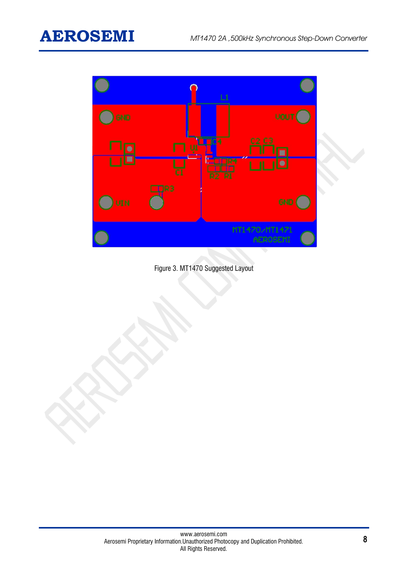

Figure 3. MT1470 Suggested Layout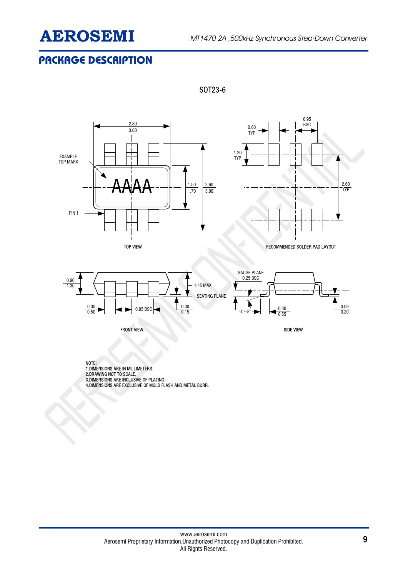

## **PACKAGE DESCRIPTION**



SOT23-6





TOP VIEW RECOMMENDED SOLDER PAD LAYOUT



NOTE: 1.DIMENSIONS ARE IN MILLIMETERS. 2.DRAWING NOT TO SCALE. 3.DIMENSIONS ARE INCLUSIVE OF PLATING. 4.DIMENSIONS ARE EXCLUSIVE OF MOLD FLASH AND METAL BURR.